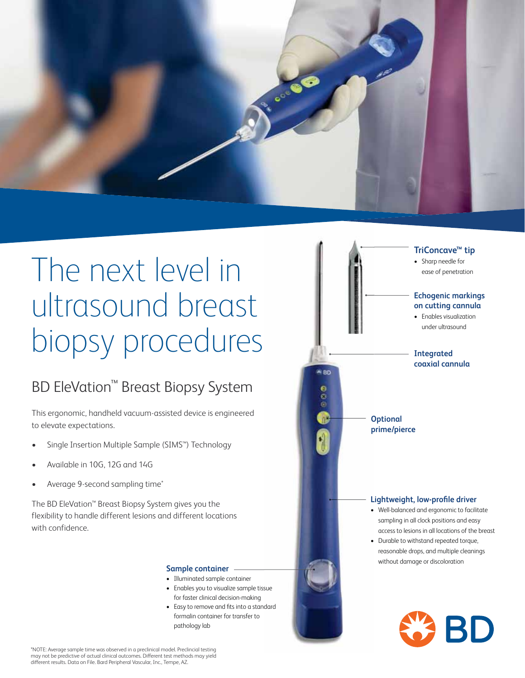

# The next level in ultrasound breast biopsy procedures

# BD EleVation™ Breast Biopsy System

This ergonomic, handheld vacuum-assisted device is engineered to elevate expectations.

- Single Insertion Multiple Sample (SIMS™) Technology
- Available in 10G, 12G and 14G
- Average 9-second sampling time\*

The BD EleVation™ Breast Biopsy System gives you the flexibility to handle different lesions and different locations with confidence.

#### **Sample container**

- Illuminated sample container
- Enables you to visualize sample tissue for faster clinical decision-making
- Easy to remove and fits into a standard formalin container for transfer to pathology lab